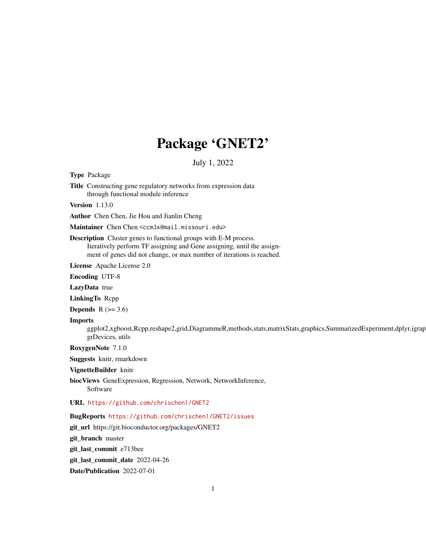## Package 'GNET2'

July 1, 2022

Type Package

Title Constructing gene regulatory networks from expression data through functional module inference

Version 1.13.0

Author Chen Chen, Jie Hou and Jianlin Cheng

Maintainer Chen Chen <ccm3x@mail.missouri.edu>

Description Cluster genes to functional groups with E-M process. Iteratively perform TF assigning and Gene assigning, until the assignment of genes did not change, or max number of iterations is reached.

License Apache License 2.0

Encoding UTF-8

LazyData true

LinkingTo Rcpp

Depends  $R$  ( $>= 3.6$ )

#### Imports

ggplot2,xgboost,Rcpp,reshape2,grid,DiagrammeR,methods,stats,matrixStats,graphics,SummarizedExperiment,dplyr,igrap grDevices, utils

RoxygenNote 7.1.0

Suggests knitr, rmarkdown

VignetteBuilder knitr

biocViews GeneExpression, Regression, Network, NetworkInference, Software

URL <https://github.com/chrischen1/GNET2>

BugReports <https://github.com/chrischen1/GNET2/issues>

git\_url https://git.bioconductor.org/packages/GNET2

git\_branch master

git\_last\_commit e713bee

git\_last\_commit\_date 2022-04-26

Date/Publication 2022-07-01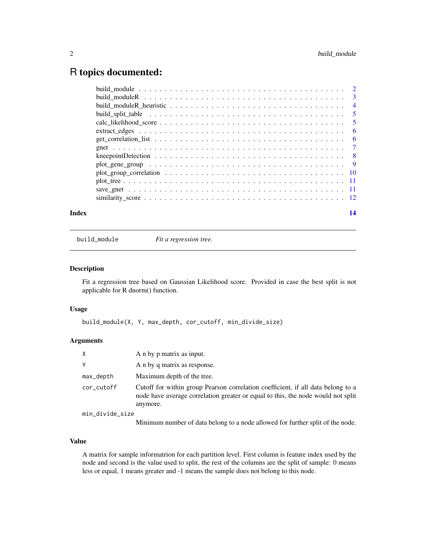### <span id="page-1-0"></span>R topics documented:

| Index | 14 |
|-------|----|
|       |    |
|       |    |
|       |    |
|       |    |
|       |    |
|       |    |
|       |    |
|       |    |
|       |    |
|       |    |
|       |    |
|       |    |
|       |    |
|       |    |

build\_module *Fit a regression tree.*

#### Description

Fit a regression tree based on Gaussian Likelihood score. Provided in case the best split is not applicable for R dnorm() function.

#### Usage

```
build_module(X, Y, max_depth, cor_cutoff, min_divide_size)
```
#### Arguments

| X               | A n by p matrix as input.                                                                                                                                                                                                                                                                                                        |
|-----------------|----------------------------------------------------------------------------------------------------------------------------------------------------------------------------------------------------------------------------------------------------------------------------------------------------------------------------------|
| Υ               | A n by q matrix as response.                                                                                                                                                                                                                                                                                                     |
| max_depth       | Maximum depth of the tree.                                                                                                                                                                                                                                                                                                       |
| cor_cutoff      | Cutoff for within group Pearson correlation coefficient, if all data belong to a<br>node have average correlation greater or equal to this, the node would not split<br>anymore.                                                                                                                                                 |
| min_divide_size |                                                                                                                                                                                                                                                                                                                                  |
|                 | $\alpha$ and $\alpha$ and $\alpha$ and $\alpha$ and $\alpha$ and $\alpha$ and $\alpha$ and $\alpha$ and $\alpha$ and $\alpha$ and $\alpha$ and $\alpha$ and $\alpha$ and $\alpha$ and $\alpha$ and $\alpha$ and $\alpha$ and $\alpha$ and $\alpha$ and $\alpha$ and $\alpha$ and $\alpha$ and $\alpha$ and $\alpha$ and $\alpha$ |

Minimum number of data belong to a node allowed for further split of the node.

#### Value

A matrix for sample informatrion for each partition level. First column is feature index used by the node and second is the value used to split, the rest of the columns are the split of sample: 0 means less or equal, 1 means greater and -1 means the sample does not belong to this node.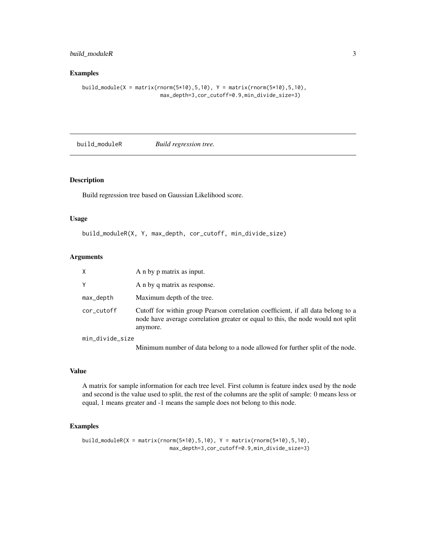#### <span id="page-2-0"></span>build\_moduleR 3

#### Examples

build\_module(X = matrix(rnorm(5\*10),5,10), Y = matrix(rnorm(5\*10),5,10), max\_depth=3,cor\_cutoff=0.9,min\_divide\_size=3)

build\_moduleR *Build regression tree.*

#### Description

Build regression tree based on Gaussian Likelihood score.

#### Usage

build\_moduleR(X, Y, max\_depth, cor\_cutoff, min\_divide\_size)

#### Arguments

| X               | A n by p matrix as input.                                                                                                                                                        |
|-----------------|----------------------------------------------------------------------------------------------------------------------------------------------------------------------------------|
| Y               | A n by q matrix as response.                                                                                                                                                     |
| max_depth       | Maximum depth of the tree.                                                                                                                                                       |
| cor_cutoff      | Cutoff for within group Pearson correlation coefficient, if all data belong to a<br>node have average correlation greater or equal to this, the node would not split<br>anymore. |
| min_divide_size |                                                                                                                                                                                  |

Minimum number of data belong to a node allowed for further split of the node.

#### Value

A matrix for sample information for each tree level. First column is feature index used by the node and second is the value used to split, the rest of the columns are the split of sample: 0 means less or equal, 1 means greater and -1 means the sample does not belong to this node.

```
build_moduleR(X = matrix(rnorm(5*10), 5, 10), Y = matrix(rnorm(5*10), 5, 10),
                            max_depth=3,cor_cutoff=0.9,min_divide_size=3)
```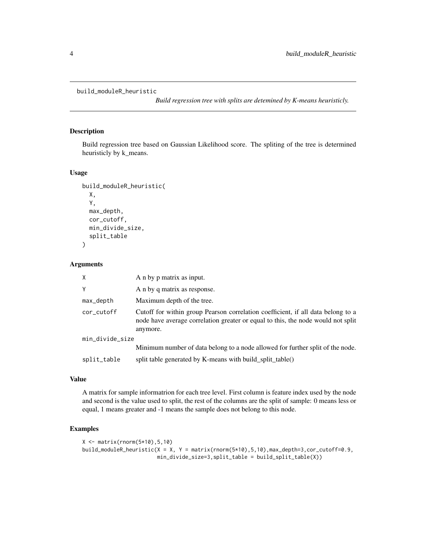```
build_moduleR_heuristic
```
*Build regression tree with splits are detemined by K-means heuristicly.*

#### Description

Build regression tree based on Gaussian Likelihood score. The spliting of the tree is determined heuristicly by k\_means.

#### Usage

```
build_moduleR_heuristic(
 X,
 Y,
 max_depth,
 cor_cutoff,
 min_divide_size,
  split_table
)
```
#### Arguments

| $\times$        | A n by p matrix as input.                                                                                                                                                        |  |
|-----------------|----------------------------------------------------------------------------------------------------------------------------------------------------------------------------------|--|
| Y               | A n by q matrix as response.                                                                                                                                                     |  |
| max_depth       | Maximum depth of the tree.                                                                                                                                                       |  |
| cor_cutoff      | Cutoff for within group Pearson correlation coefficient, if all data belong to a<br>node have average correlation greater or equal to this, the node would not split<br>anymore. |  |
| min_divide_size |                                                                                                                                                                                  |  |
|                 | Minimum number of data belong to a node allowed for further split of the node.                                                                                                   |  |
| split_table     | split table generated by K-means with build_split_table()                                                                                                                        |  |

#### Value

A matrix for sample informatrion for each tree level. First column is feature index used by the node and second is the value used to split, the rest of the columns are the split of sample: 0 means less or equal, 1 means greater and -1 means the sample does not belong to this node.

```
X <- matrix(rnorm(5*10),5,10)
build_moduleR_heuristic(X = X, Y = matrix(rnorm(5*10),5,10),max_depth=3,cor_cutoff=0.9,
                       min_divide_size=3,split_table = build_split_table(X))
```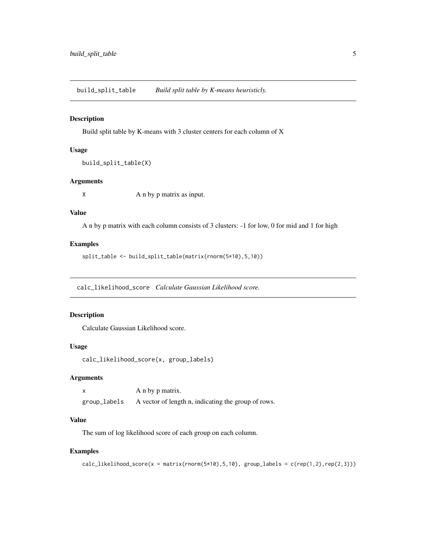<span id="page-4-0"></span>build\_split\_table *Build split table by K-means heuristicly.*

#### Description

Build split table by K-means with 3 cluster centers for each column of X

#### Usage

```
build_split_table(X)
```
#### Arguments

X A n by p matrix as input.

#### Value

A n by p matrix with each column consists of 3 clusters: -1 for low, 0 for mid and 1 for high

#### Examples

split\_table <- build\_split\_table(matrix(rnorm(5\*10),5,10))

calc\_likelihood\_score *Calculate Gaussian Likelihood score.*

#### Description

Calculate Gaussian Likelihood score.

#### Usage

calc\_likelihood\_score(x, group\_labels)

#### Arguments

x A n by p matrix. group\_labels A vector of length n, indicating the group of rows.

#### Value

The sum of log likelihood score of each group on each column.

```
calc\_likelihood_score(x = matrix(rnorm(5*10), 5, 10), group\_labels = c(rep(1,2), rep(2,3)))
```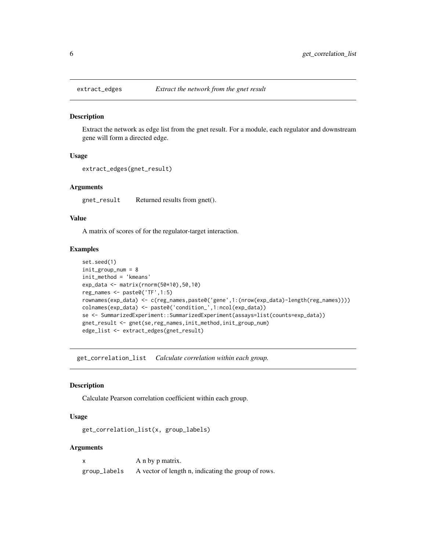<span id="page-5-0"></span>

#### Description

Extract the network as edge list from the gnet result. For a module, each regulator and downstream gene will form a directed edge.

#### Usage

```
extract_edges(gnet_result)
```
#### Arguments

gnet\_result Returned results from gnet().

#### Value

A matrix of scores of for the regulator-target interaction.

#### Examples

```
set.seed(1)
init_group_num = 8
init_method = 'kmeans'
exp_data <- matrix(rnorm(50*10),50,10)
reg_names <- paste0('TF',1:5)
rownames(exp_data) <- c(reg_names,paste0('gene',1:(nrow(exp_data)-length(reg_names))))
colnames(exp_data) <- paste0('condition_',1:ncol(exp_data))
se <- SummarizedExperiment::SummarizedExperiment(assays=list(counts=exp_data))
gnet_result <- gnet(se,reg_names,init_method,init_group_num)
edge_list <- extract_edges(gnet_result)
```
get\_correlation\_list *Calculate correlation within each group.*

#### Description

Calculate Pearson correlation coefficient within each group.

#### Usage

get\_correlation\_list(x, group\_labels)

#### **Arguments**

| $\mathsf{x}$ | A n by p matrix.                                    |
|--------------|-----------------------------------------------------|
| group_labels | A vector of length n, indicating the group of rows. |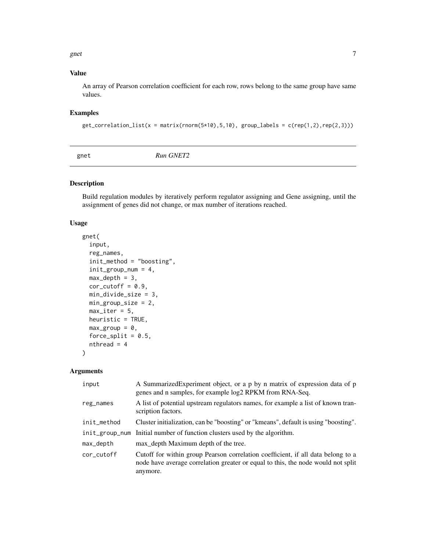<span id="page-6-0"></span>gnet  $\sim$  7

#### Value

An array of Pearson correlation coefficient for each row, rows belong to the same group have same values.

#### Examples

```
get\_correlation\_list(x = matrix(rnorm(5*10), 5, 10), group\_labels = c(rep(1, 2), rep(2, 3)))
```

| gnet | Run GNET2 |  |
|------|-----------|--|
|------|-----------|--|

#### Description

Build regulation modules by iteratively perform regulator assigning and Gene assigning, until the assignment of genes did not change, or max number of iterations reached.

#### Usage

```
gnet(
  input,
  reg_names,
  init_method = "boosting",
  init_group_num = 4,
 max\_depth = 3,
  cor\_cutoff = 0.9,min_divide_size = 3,
 min_group_size = 2,
 max\_iter = 5,
 heuristic = TRUE,
 max\_group = 0,force_split = 0.5,
  nthread = 4
)
```
#### Arguments

| input          | A Summarized Experiment object, or a p by n matrix of expression data of p<br>genes and n samples, for example log2 RPKM from RNA-Seq.                                           |
|----------------|----------------------------------------------------------------------------------------------------------------------------------------------------------------------------------|
| reg_names      | A list of potential upstream regulators names, for example a list of known tran-<br>scription factors.                                                                           |
| init_method    | Cluster initialization, can be "boosting" or "kmeans", default is using "boosting".                                                                                              |
| init_group_num | Initial number of function clusters used by the algorithm.                                                                                                                       |
| max_depth      | max depth Maximum depth of the tree.                                                                                                                                             |
| cor cutoff     | Cutoff for within group Pearson correlation coefficient, if all data belong to a<br>node have average correlation greater or equal to this, the node would not split<br>anymore. |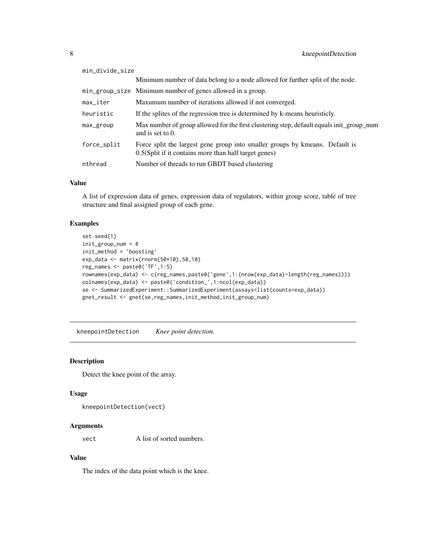<span id="page-7-0"></span>

| min_divide_size |                                                                                                                                         |  |
|-----------------|-----------------------------------------------------------------------------------------------------------------------------------------|--|
|                 | Minimum number of data belong to a node allowed for further split of the node.                                                          |  |
|                 | min_group_size Minimum number of genes allowed in a group.                                                                              |  |
| max iter        | Maxumum number of iterations allowed if not converged.                                                                                  |  |
| heuristic       | If the splites of the regression tree is determined by k-means heuristicly.                                                             |  |
| max_group       | Max number of group allowed for the first clustering step, default equals init_group_num<br>and is set to 0.                            |  |
| force_split     | Force split the largest gene group into smaller groups by kmeans. Default is<br>$0.5(Split$ if it contains more than half target genes) |  |
| nthread         | Number of threads to run GBDT based clustering                                                                                          |  |

#### Value

A list of expression data of genes, expression data of regulators, within group score, table of tree structure and final assigned group of each gene.

#### Examples

```
set.seed(1)
init_group_num = 8
init_method = 'boosting'
exp_data <- matrix(rnorm(50*10),50,10)
reg_names <- paste0('TF',1:5)
rownames(exp_data) <- c(reg_names,paste0('gene',1:(nrow(exp_data)-length(reg_names))))
colnames(exp_data) <- paste0('condition_',1:ncol(exp_data))
se <- SummarizedExperiment::SummarizedExperiment(assays=list(counts=exp_data))
gnet_result <- gnet(se,reg_names,init_method,init_group_num)
```
kneepointDetection *Knee point detection.*

#### Description

Detect the knee point of the array.

#### Usage

```
kneepointDetection(vect)
```
#### Arguments

vect A list of sorted numbers.

#### Value

The index of the data point which is the knee.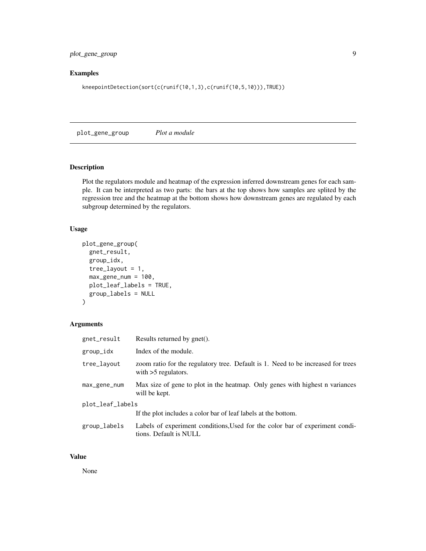<span id="page-8-0"></span>plot\_gene\_group 9

#### Examples

kneepointDetection(sort(c(runif(10,1,3),c(runif(10,5,10))),TRUE))

plot\_gene\_group *Plot a module*

#### Description

Plot the regulators module and heatmap of the expression inferred downstream genes for each sample. It can be interpreted as two parts: the bars at the top shows how samples are splited by the regression tree and the heatmap at the bottom shows how downstream genes are regulated by each subgroup determined by the regulators.

#### Usage

```
plot_gene_group(
  gnet_result,
  group_idx,
  tree\_layout = 1,
 max\_gene\_num = 100,plot_leaf_labels = TRUE,
  group_labels = NULL
)
```
#### Arguments

| gnet_result      | Results returned by gnet().                                                                               |  |
|------------------|-----------------------------------------------------------------------------------------------------------|--|
| group_idx        | Index of the module.                                                                                      |  |
| tree_layout      | zoom ratio for the regulatory tree. Default is 1. Need to be increased for trees<br>with $>5$ regulators. |  |
| max_gene_num     | Max size of gene to plot in the heatmap. Only genes with highest n variances<br>will be kept.             |  |
| plot_leaf_labels |                                                                                                           |  |
|                  | If the plot includes a color bar of leaf labels at the bottom.                                            |  |
| group_labels     | Labels of experiment conditions, Used for the color bar of experiment condi-<br>tions. Default is NULL    |  |

#### Value

None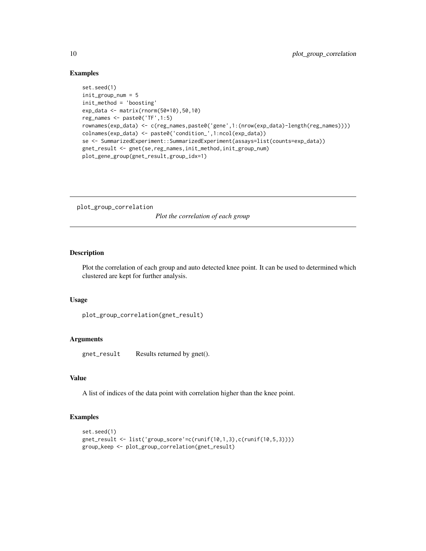#### Examples

```
set.seed(1)
init_group_num = 5
init_method = 'boosting'
exp_data <- matrix(rnorm(50*10),50,10)
reg_names <- paste0('TF',1:5)
rownames(exp_data) <- c(reg_names,paste0('gene',1:(nrow(exp_data)-length(reg_names))))
colnames(exp_data) <- paste0('condition_',1:ncol(exp_data))
se <- SummarizedExperiment::SummarizedExperiment(assays=list(counts=exp_data))
gnet_result <- gnet(se,reg_names,init_method,init_group_num)
plot_gene_group(gnet_result,group_idx=1)
```
plot\_group\_correlation

*Plot the correlation of each group*

#### Description

Plot the correlation of each group and auto detected knee point. It can be used to determined which clustered are kept for further analysis.

#### Usage

```
plot_group_correlation(gnet_result)
```
#### Arguments

gnet\_result Results returned by gnet().

#### Value

A list of indices of the data point with correlation higher than the knee point.

```
set.seed(1)
gnet_result <- list('group_score'=c(runif(10,1,3),c(runif(10,5,3))))
group_keep <- plot_group_correlation(gnet_result)
```
<span id="page-9-0"></span>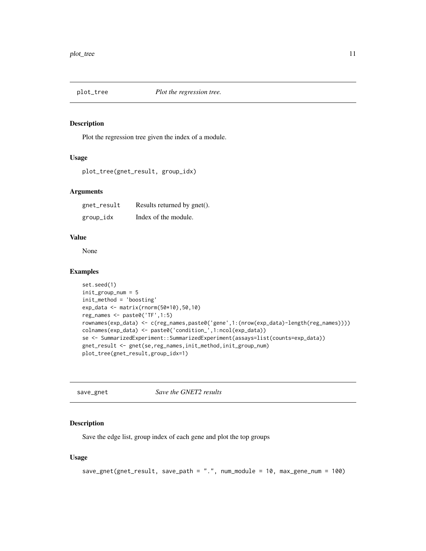<span id="page-10-0"></span>

#### Description

Plot the regression tree given the index of a module.

#### Usage

```
plot_tree(gnet_result, group_idx)
```
#### Arguments

| gnet_result | Results returned by gnet(). |
|-------------|-----------------------------|
| group_idx   | Index of the module.        |

#### Value

None

#### Examples

```
set.seed(1)
init_group_num = 5
init_method = 'boosting'
exp_data <- matrix(rnorm(50*10),50,10)
reg_names <- paste0('TF',1:5)
rownames(exp_data) <- c(reg_names,paste0('gene',1:(nrow(exp_data)-length(reg_names))))
colnames(exp_data) <- paste0('condition_',1:ncol(exp_data))
se <- SummarizedExperiment::SummarizedExperiment(assays=list(counts=exp_data))
gnet_result <- gnet(se,reg_names,init_method,init_group_num)
plot_tree(gnet_result,group_idx=1)
```
save\_gnet *Save the GNET2 results*

#### Description

Save the edge list, group index of each gene and plot the top groups

#### Usage

```
save_gnet(gnet_result, save_path = ".", num_module = 10, max_gene_num = 100)
```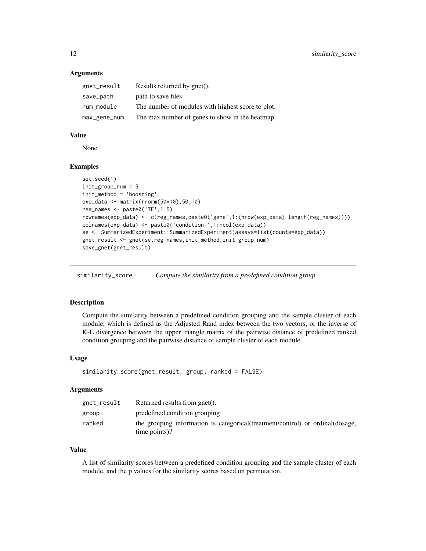#### **Arguments**

| gnet_result  | Results returned by gnet().                       |
|--------------|---------------------------------------------------|
| save_path    | path to save files                                |
| num_module   | The number of modules with highest score to plot. |
| max_gene_num | The max number of genes to show in the heatmap.   |

#### Value

None

#### Examples

```
set.seed(1)
init_group_num = 5
init_method = 'boosting'
exp_data <- matrix(rnorm(50*10),50,10)
reg_names <- paste0('TF',1:5)
rownames(exp_data) <- c(reg_names,paste0('gene',1:(nrow(exp_data)-length(reg_names))))
colnames(exp_data) <- paste0('condition_',1:ncol(exp_data))
se <- SummarizedExperiment::SummarizedExperiment(assays=list(counts=exp_data))
gnet_result <- gnet(se,reg_names,init_method,init_group_num)
save_gnet(gnet_result)
```
similarity\_score *Compute the similarity from a predefined condition group*

#### Description

Compute the similarity between a predefined condition grouping and the sample cluster of each module, which is defined as the Adjusted Rand index between the two vectors, or the inverse of K-L divergence between the upper triangle matrix of the pairwise distance of predefined ranked condition grouping and the pairwise distance of sample cluster of each module.

#### Usage

```
similarity_score(gnet_result, group, ranked = FALSE)
```
#### Arguments

| gnet_result | Returned results from gnet().                                                                    |
|-------------|--------------------------------------------------------------------------------------------------|
| group       | predefined condition grouping                                                                    |
| ranked      | the grouping information is categorical (treatment/control) or ordinal (dosage,<br>time points)? |

#### Value

A list of similarity scores between a predefined condition grouping and the sample cluster of each module, and the p values for the similarity scores based on permutation.

<span id="page-11-0"></span>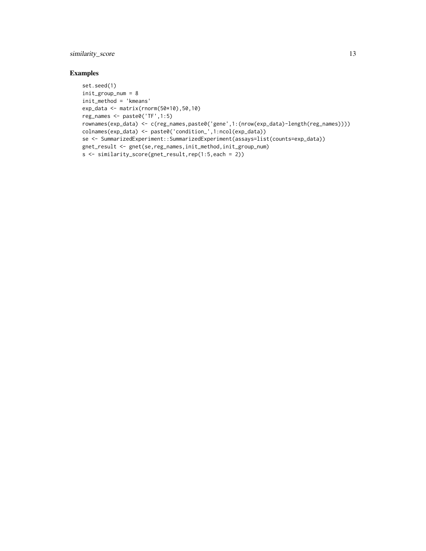#### similarity\_score 13

```
set.seed(1)
init_group_num = 8
init_method = 'kmeans'
exp_data <- matrix(rnorm(50*10),50,10)
reg_names <- paste0('TF',1:5)
rownames(exp_data) <- c(reg_names,paste0('gene',1:(nrow(exp_data)-length(reg_names))))
colnames(exp_data) <- paste0('condition_',1:ncol(exp_data))
se <- SummarizedExperiment::SummarizedExperiment(assays=list(counts=exp_data))
gnet_result <- gnet(se,reg_names,init_method,init_group_num)
s <- similarity_score(gnet_result,rep(1:5,each = 2))
```